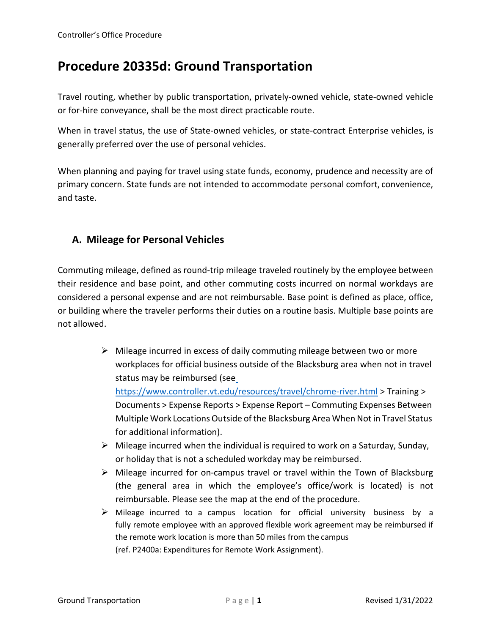# **Procedure 20335d: Ground Transportation**

Travel routing, whether by public transportation, privately-owned vehicle, state-owned vehicle or for-hire conveyance, shall be the most direct practicable route.

When in travel status, the use of State-owned vehicles, or state-contract Enterprise vehicles, is generally preferred over the use of personal vehicles.

When planning and paying for travel using state funds, economy, prudence and necessity are of primary concern. State funds are not intended to accommodate personal comfort, convenience, and taste.

### **A. Mileage for Personal Vehicles**

Commuting mileage, defined as round-trip mileage traveled routinely by the employee between their residence and base point, and other commuting costs incurred on normal workdays are considered a personal expense and are not reimbursable. Base point is defined as place, office, or building where the traveler performs their duties on a routine basis. Multiple base points are not allowed.

- $\triangleright$  Mileage incurred in excess of daily commuting mileage between two or more workplaces for official business outside of the Blacksburg area when not in travel status may be reimbursed (se[e](https://www.controller.vt.edu/resources/travel/chrome-river.html) <https://www.controller.vt.edu/resources/travel/chrome-river.html> > Training > Documents > Expense Reports > Expense Report – Commuting Expenses Between Multiple Work Locations Outside of the Blacksburg Area When Not in Travel Status for additional information).
- $\triangleright$  Mileage incurred when the individual is required to work on a Saturday, Sunday, or holiday that is not a scheduled workday may be reimbursed.
- $\triangleright$  Mileage incurred for on-campus travel or travel within the Town of Blacksburg (the general area in which the employee's office/work is located) is not reimbursable. Please see the map at the end of the procedure.
- $\triangleright$  Mileage incurred to a campus location for official university business by a fully remote employee with an approved flexible work agreement may be reimbursed if the remote work location is more than 50 miles from the campus (ref. P2400a: Expenditures for Remote Work Assignment).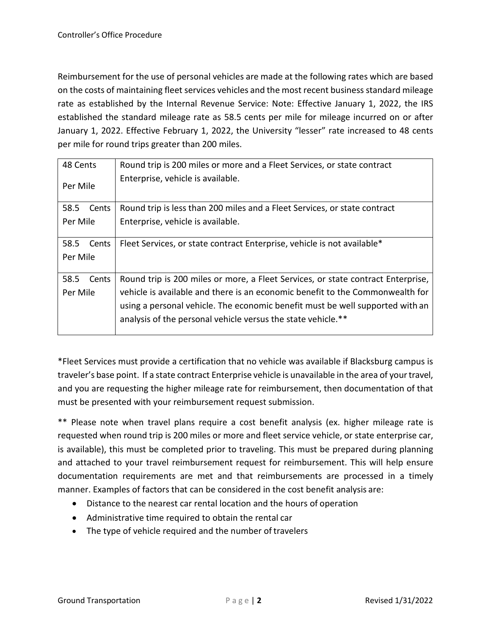Reimbursement for the use of personal vehicles are made at the following rates which are based on the costs of maintaining fleet services vehicles and the most recent business standard mileage rate as established by the Internal Revenue Service: Note: Effective January 1, 2022, the IRS established the standard mileage rate as 58.5 cents per mile for mileage incurred on or after January 1, 2022. Effective February 1, 2022, the University "lesser" rate increased to 48 cents per mile for round trips greater than 200 miles.

| 48 Cents |       | Round trip is 200 miles or more and a Fleet Services, or state contract          |
|----------|-------|----------------------------------------------------------------------------------|
| Per Mile |       | Enterprise, vehicle is available.                                                |
| 58.5     | Cents | Round trip is less than 200 miles and a Fleet Services, or state contract        |
| Per Mile |       | Enterprise, vehicle is available.                                                |
| 58.5     | Cents | Fleet Services, or state contract Enterprise, vehicle is not available*          |
| Per Mile |       |                                                                                  |
| 58.5     | Cents | Round trip is 200 miles or more, a Fleet Services, or state contract Enterprise, |
| Per Mile |       | vehicle is available and there is an economic benefit to the Commonwealth for    |
|          |       | using a personal vehicle. The economic benefit must be well supported with an    |
|          |       | analysis of the personal vehicle versus the state vehicle.**                     |

\*Fleet Services must provide a certification that no vehicle was available if Blacksburg campus is traveler's base point. If a state contract Enterprise vehicle is unavailable in the area of yourtravel, and you are requesting the higher mileage rate for reimbursement, then documentation of that must be presented with your reimbursement request submission.

\*\* Please note when travel plans require a cost benefit analysis (ex. higher mileage rate is requested when round trip is 200 miles or more and fleet service vehicle, or state enterprise car, is available), this must be completed prior to traveling. This must be prepared during planning and attached to your travel reimbursement request for reimbursement. This will help ensure documentation requirements are met and that reimbursements are processed in a timely manner. Examples of factors that can be considered in the cost benefit analysis are:

- Distance to the nearest car rental location and the hours of operation
- Administrative time required to obtain the rental car
- The type of vehicle required and the number of travelers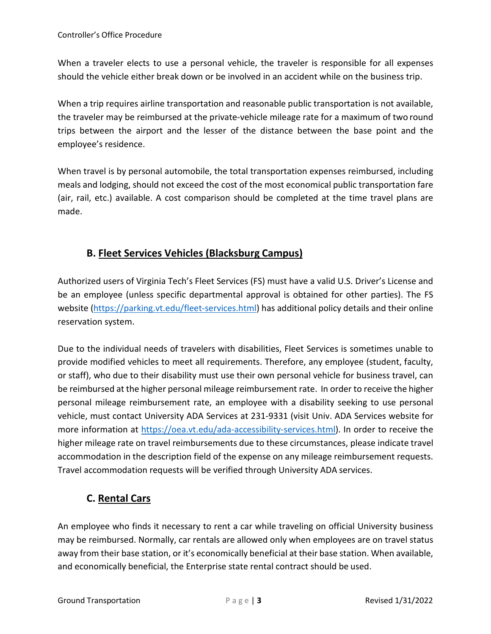When a traveler elects to use a personal vehicle, the traveler is responsible for all expenses should the vehicle either break down or be involved in an accident while on the business trip.

When a trip requires airline transportation and reasonable public transportation is not available, the traveler may be reimbursed at the private-vehicle mileage rate for a maximum of two round trips between the airport and the lesser of the distance between the base point and the employee's residence.

When travel is by personal automobile, the total transportation expenses reimbursed, including meals and lodging, should not exceed the cost of the most economical public transportation fare (air, rail, etc.) available. A cost comparison should be completed at the time travel plans are made.

### **B. Fleet Services Vehicles (Blacksburg Campus)**

Authorized users of Virginia Tech's Fleet Services (FS) must have a valid U.S. Driver's License and be an employee (unless specific departmental approval is obtained for other parties). The FS website [\(https://parking.vt.edu/fleet-services.html\)](https://parking.vt.edu/fleet-services.html) has additional policy details and their online reservation system.

Due to the individual needs of travelers with disabilities, Fleet Services is sometimes unable to provide modified vehicles to meet all requirements. Therefore, any employee (student, faculty, or staff), who due to their disability must use their own personal vehicle for business travel, can be reimbursed at the higher personal mileage reimbursement rate. In order to receive the higher personal mileage reimbursement rate, an employee with a disability seeking to use personal vehicle, must contact University ADA Services at 231-9331 (visit Univ. ADA Services website for more information at [https://oea.vt.edu/ada-accessibility-services.html\)](https://oea.vt.edu/ada-accessibility-services.html). In order to receive the higher mileage rate on travel reimbursements due to these circumstances, please indicate travel accommodation in the description field of the expense on any mileage reimbursement requests. Travel accommodation requests will be verified through University ADA services.

## **C. Rental Cars**

An employee who finds it necessary to rent a car while traveling on official University business may be reimbursed. Normally, car rentals are allowed only when employees are on travel status away from their base station, or it's economically beneficial at their base station. When available, and economically beneficial, the Enterprise state rental contract should be used.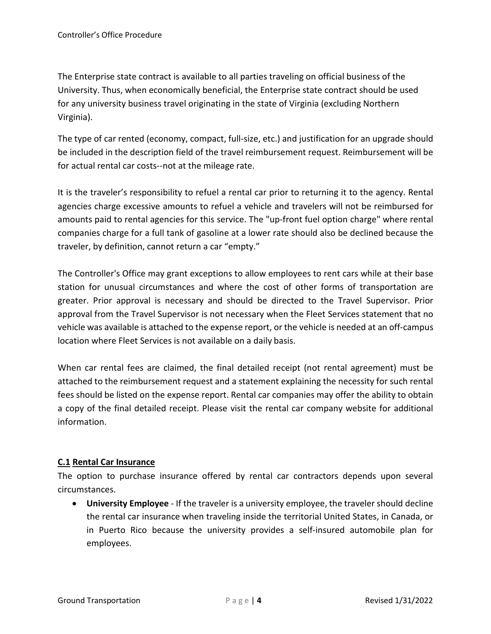The Enterprise state contract is available to all parties traveling on official business of the University. Thus, when economically beneficial, the Enterprise state contract should be used for any university business travel originating in the state of Virginia (excluding Northern Virginia).

The type of car rented (economy, compact, full-size, etc.) and justification for an upgrade should be included in the description field of the travel reimbursement request. Reimbursement will be for actual rental car costs--not at the mileage rate.

It is the traveler's responsibility to refuel a rental car prior to returning it to the agency. Rental agencies charge excessive amounts to refuel a vehicle and travelers will not be reimbursed for amounts paid to rental agencies for this service. The "up-front fuel option charge" where rental companies charge for a full tank of gasoline at a lower rate should also be declined because the traveler, by definition, cannot return a car "empty."

The Controller's Office may grant exceptions to allow employees to rent cars while at their base station for unusual circumstances and where the cost of other forms of transportation are greater. Prior approval is necessary and should be directed to the Travel Supervisor. Prior approval from the Travel Supervisor is not necessary when the Fleet Services statement that no vehicle was available is attached to the expense report, or the vehicle is needed at an off-campus location where Fleet Services is not available on a daily basis.

When car rental fees are claimed, the final detailed receipt (not rental agreement) must be attached to the reimbursement request and a statement explaining the necessity for such rental fees should be listed on the expense report. Rental car companies may offer the ability to obtain a copy of the final detailed receipt. Please visit the rental car company website for additional information.

#### **C.1 Rental Car Insurance**

The option to purchase insurance offered by rental car contractors depends upon several circumstances.

• **University Employee** - If the traveler is a university employee, the traveler should decline the rental car insurance when traveling inside the territorial United States, in Canada, or in Puerto Rico because the university provides a self-insured automobile plan for employees.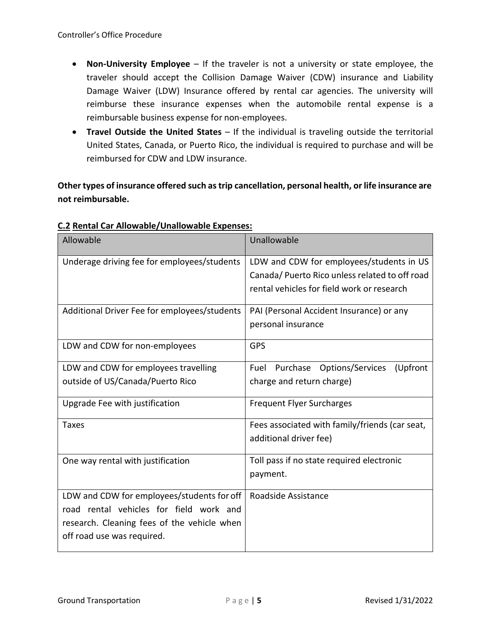- **Non-University Employee**  If the traveler is not a university or state employee, the traveler should accept the Collision Damage Waiver (CDW) insurance and Liability Damage Waiver (LDW) Insurance offered by rental car agencies. The university will reimburse these insurance expenses when the automobile rental expense is a reimbursable business expense for non-employees.
- **Travel Outside the United States**  If the individual is traveling outside the territorial United States, Canada, or Puerto Rico, the individual is required to purchase and will be reimbursed for CDW and LDW insurance.

**Other types of insurance offered such as trip cancellation, personal health, or life insurance are not reimbursable.**

| Allowable                                    | Unallowable                                      |
|----------------------------------------------|--------------------------------------------------|
| Underage driving fee for employees/students  | LDW and CDW for employees/students in US         |
|                                              | Canada/ Puerto Rico unless related to off road   |
|                                              | rental vehicles for field work or research       |
| Additional Driver Fee for employees/students | PAI (Personal Accident Insurance) or any         |
|                                              | personal insurance                               |
| LDW and CDW for non-employees                | <b>GPS</b>                                       |
| LDW and CDW for employees travelling         | Purchase<br>Options/Services<br>Fuel<br>(Upfront |
| outside of US/Canada/Puerto Rico             | charge and return charge)                        |
| Upgrade Fee with justification               | <b>Frequent Flyer Surcharges</b>                 |
| <b>Taxes</b>                                 | Fees associated with family/friends (car seat,   |
|                                              | additional driver fee)                           |
| One way rental with justification            | Toll pass if no state required electronic        |
|                                              | payment.                                         |
| LDW and CDW for employees/students for off   | Roadside Assistance                              |
| road rental vehicles for field work and      |                                                  |
| research. Cleaning fees of the vehicle when  |                                                  |
| off road use was required.                   |                                                  |

#### **C.2 Rental Car Allowable/Unallowable Expenses:**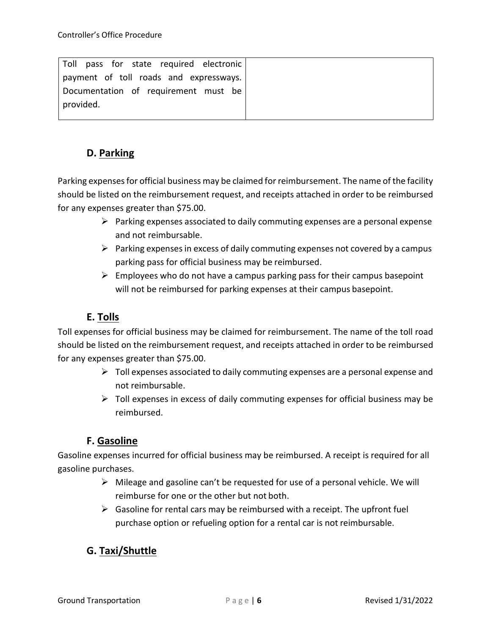| Toll pass for state required electronic |  |  |  |
|-----------------------------------------|--|--|--|
| payment of toll roads and expressways.  |  |  |  |
| Documentation of requirement must be    |  |  |  |
| provided.                               |  |  |  |
|                                         |  |  |  |

### **D. Parking**

Parking expensesfor official business may be claimed for reimbursement. The name of the facility should be listed on the reimbursement request, and receipts attached in order to be reimbursed for any expenses greater than \$75.00.

- $\triangleright$  Parking expenses associated to daily commuting expenses are a personal expense and not reimbursable.
- $\triangleright$  Parking expenses in excess of daily commuting expenses not covered by a campus parking pass for official business may be reimbursed.
- $\triangleright$  Employees who do not have a campus parking pass for their campus basepoint will not be reimbursed for parking expenses at their campus basepoint.

### **E. Tolls**

Toll expenses for official business may be claimed for reimbursement. The name of the toll road should be listed on the reimbursement request, and receipts attached in order to be reimbursed for any expenses greater than \$75.00.

- $\triangleright$  Toll expenses associated to daily commuting expenses are a personal expense and not reimbursable.
- $\triangleright$  Toll expenses in excess of daily commuting expenses for official business may be reimbursed.

### **F. Gasoline**

Gasoline expenses incurred for official business may be reimbursed. A receipt is required for all gasoline purchases.

- $\triangleright$  Mileage and gasoline can't be requested for use of a personal vehicle. We will reimburse for one or the other but not both.
- $\triangleright$  Gasoline for rental cars may be reimbursed with a receipt. The upfront fuel purchase option or refueling option for a rental car is not reimbursable.

### **G. Taxi/Shuttle**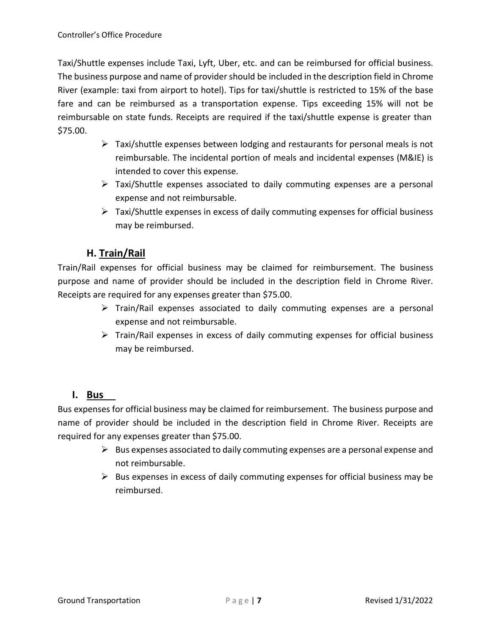Taxi/Shuttle expenses include Taxi, Lyft, Uber, etc. and can be reimbursed for official business. The business purpose and name of provider should be included in the description field in Chrome River (example: taxi from airport to hotel). Tips for taxi/shuttle is restricted to 15% of the base fare and can be reimbursed as a transportation expense. Tips exceeding 15% will not be reimbursable on state funds. Receipts are required if the taxi/shuttle expense is greater than \$75.00.

- $\triangleright$  Taxi/shuttle expenses between lodging and restaurants for personal meals is not reimbursable. The incidental portion of meals and incidental expenses (M&IE) is intended to cover this expense.
- $\triangleright$  Taxi/Shuttle expenses associated to daily commuting expenses are a personal expense and not reimbursable.
- $\triangleright$  Taxi/Shuttle expenses in excess of daily commuting expenses for official business may be reimbursed.

## **H. Train/Rail**

Train/Rail expenses for official business may be claimed for reimbursement. The business purpose and name of provider should be included in the description field in Chrome River. Receipts are required for any expenses greater than \$75.00.

- $\triangleright$  Train/Rail expenses associated to daily commuting expenses are a personal expense and not reimbursable.
- $\triangleright$  Train/Rail expenses in excess of daily commuting expenses for official business may be reimbursed.

#### **I. Bus**

Bus expenses for official business may be claimed for reimbursement. The business purpose and name of provider should be included in the description field in Chrome River. Receipts are required for any expenses greater than \$75.00.

- $\triangleright$  Bus expenses associated to daily commuting expenses are a personal expense and not reimbursable.
- $\triangleright$  Bus expenses in excess of daily commuting expenses for official business may be reimbursed.